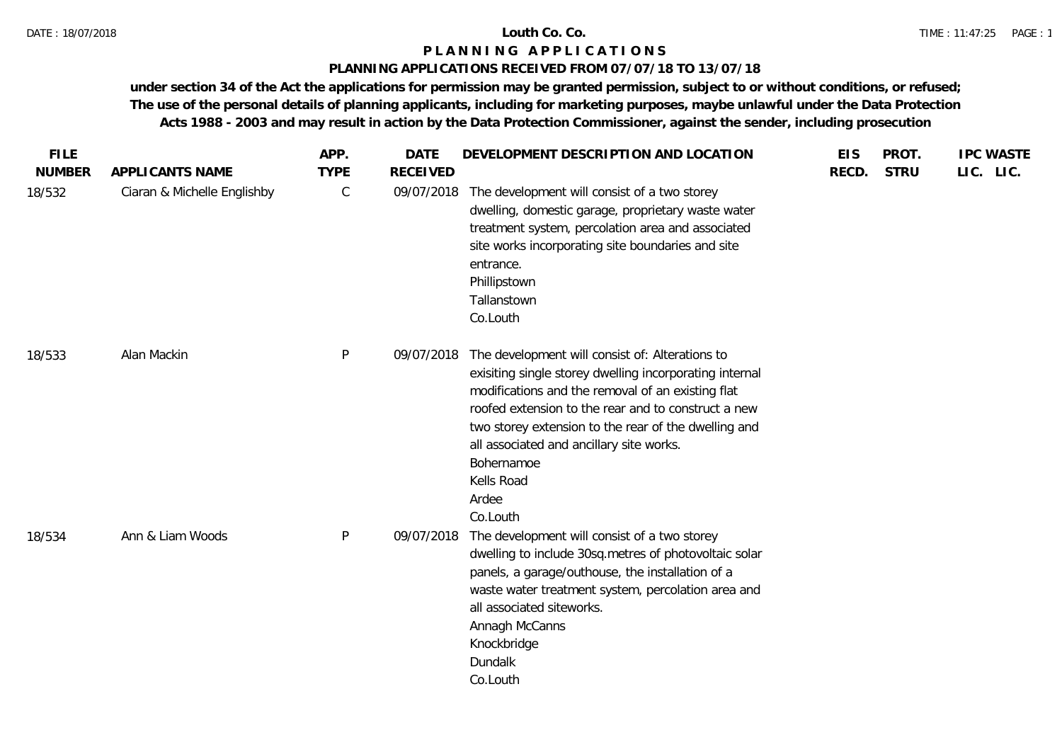# **PLANNING APPLICATIONS RECEIVED FROM 07/07/18 TO 13/07/18**

| <b>FILE</b>   |                             | APP.        | <b>DATE</b>     | DEVELOPMENT DESCRIPTION AND LOCATION                                                                                                                                                                                                                                                                                                                                        | <b>EIS</b> | PROT.       | <b>IPC WASTE</b> |
|---------------|-----------------------------|-------------|-----------------|-----------------------------------------------------------------------------------------------------------------------------------------------------------------------------------------------------------------------------------------------------------------------------------------------------------------------------------------------------------------------------|------------|-------------|------------------|
| <b>NUMBER</b> | APPLICANTS NAME             | <b>TYPE</b> | <b>RECEIVED</b> |                                                                                                                                                                                                                                                                                                                                                                             | RECD.      | <b>STRU</b> | LIC. LIC.        |
| 18/532        | Ciaran & Michelle Englishby | С           | 09/07/2018      | The development will consist of a two storey<br>dwelling, domestic garage, proprietary waste water<br>treatment system, percolation area and associated<br>site works incorporating site boundaries and site<br>entrance.<br>Phillipstown<br>Tallanstown<br>Co.Louth                                                                                                        |            |             |                  |
| 18/533        | Alan Mackin                 | P           | 09/07/2018      | The development will consist of: Alterations to<br>exisiting single storey dwelling incorporating internal<br>modifications and the removal of an existing flat<br>roofed extension to the rear and to construct a new<br>two storey extension to the rear of the dwelling and<br>all associated and ancillary site works.<br>Bohernamoe<br>Kells Road<br>Ardee<br>Co.Louth |            |             |                  |
| 18/534        | Ann & Liam Woods            | P           | 09/07/2018      | The development will consist of a two storey<br>dwelling to include 30sq.metres of photovoltaic solar<br>panels, a garage/outhouse, the installation of a<br>waste water treatment system, percolation area and<br>all associated siteworks.<br>Annagh McCanns<br>Knockbridge<br>Dundalk<br>Co.Louth                                                                        |            |             |                  |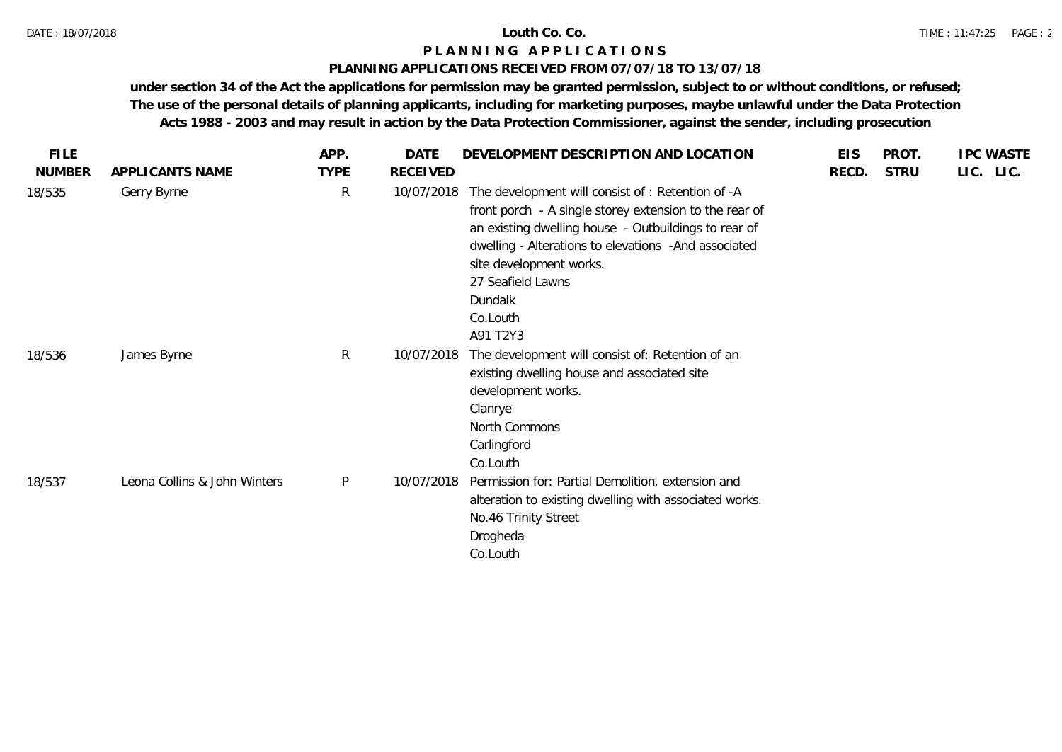# **PLANNING APPLICATIONS RECEIVED FROM 07/07/18 TO 13/07/18**

| <b>FILE</b>   |                              | APP.         | <b>DATE</b> | DEVELOPMENT DESCRIPTION AND LOCATION                                                                                                                                                                                                                                                                           | <b>EIS</b> | PROT.       | <b>IPC WASTE</b> |
|---------------|------------------------------|--------------|-------------|----------------------------------------------------------------------------------------------------------------------------------------------------------------------------------------------------------------------------------------------------------------------------------------------------------------|------------|-------------|------------------|
| <b>NUMBER</b> | APPLICANTS NAME              | <b>TYPE</b>  | RECEIVED    |                                                                                                                                                                                                                                                                                                                | RECD.      | <b>STRU</b> | LIC. LIC.        |
| 18/535        | Gerry Byrne                  | $\mathsf{R}$ | 10/07/2018  | The development will consist of: Retention of -A<br>front porch - A single storey extension to the rear of<br>an existing dwelling house - Outbuildings to rear of<br>dwelling - Alterations to elevations - And associated<br>site development works.<br>27 Seafield Lawns<br>Dundalk<br>Co.Louth<br>A91 T2Y3 |            |             |                  |
| 18/536        | James Byrne                  | R            | 10/07/2018  | The development will consist of: Retention of an<br>existing dwelling house and associated site<br>development works.<br>Clanrye<br>North Commons<br>Carlingford<br>Co.Louth                                                                                                                                   |            |             |                  |
| 18/537        | Leona Collins & John Winters | $\mathsf{P}$ | 10/07/2018  | Permission for: Partial Demolition, extension and<br>alteration to existing dwelling with associated works.<br>No.46 Trinity Street<br>Drogheda<br>Co.Louth                                                                                                                                                    |            |             |                  |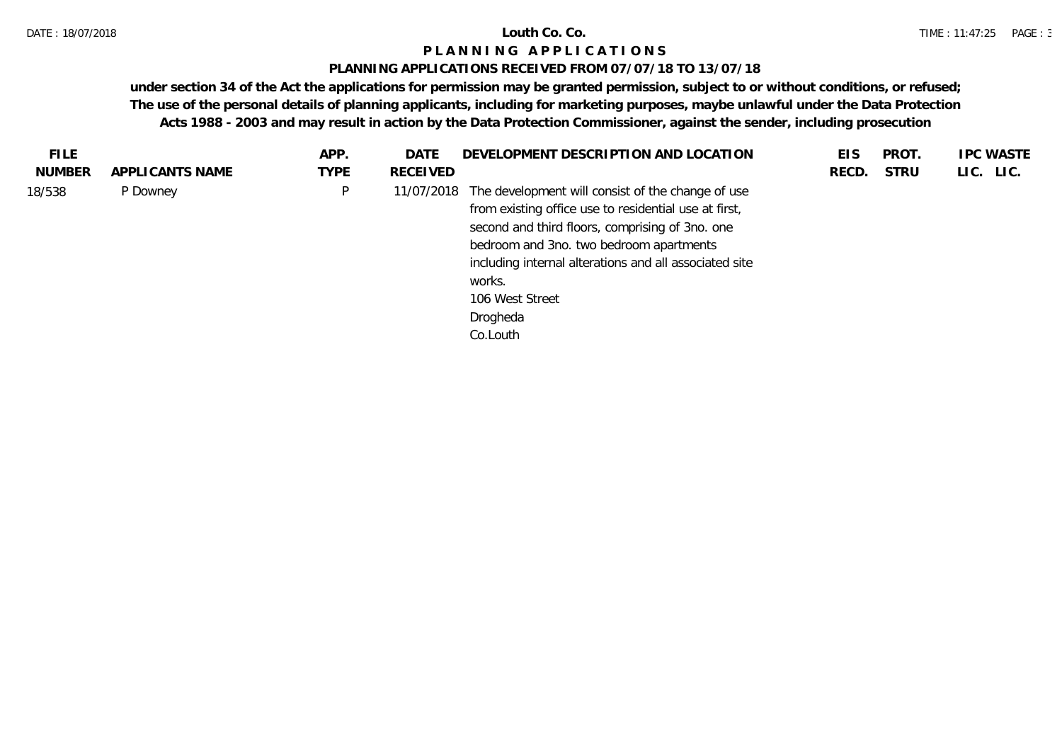# **PLANNING APPLICATIONS RECEIVED FROM 07/07/18 TO 13/07/18**

| <b>FILE</b> |                 | APP. | <b>DATE</b> | DEVELOPMENT DESCRIPTION AND LOCATION                                                                                                                                                                                                                                                                                    | EIS   | PROT.       | <b>IPC WASTE</b> |
|-------------|-----------------|------|-------------|-------------------------------------------------------------------------------------------------------------------------------------------------------------------------------------------------------------------------------------------------------------------------------------------------------------------------|-------|-------------|------------------|
| NUMBER      | APPLICANTS NAME | TYPE | RECEIVED    |                                                                                                                                                                                                                                                                                                                         | RECD. | <b>STRU</b> | LIC. LIC.        |
| 18/538      | P Downey        | P    | 11/07/2018  | The development will consist of the change of use<br>from existing office use to residential use at first,<br>second and third floors, comprising of 3no. one<br>bedroom and 3no. two bedroom apartments<br>including internal alterations and all associated site<br>works.<br>106 West Street<br>Drogheda<br>Co.Louth |       |             |                  |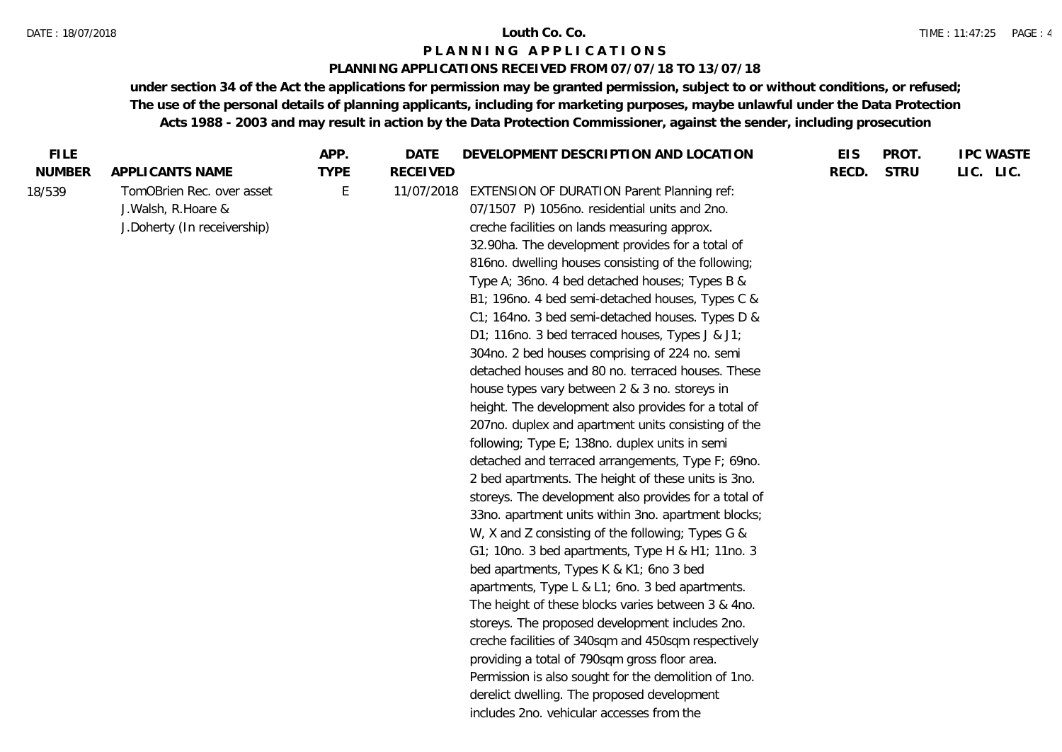#### DATE : 18/07/2018 **Louth Co. Co.**

### **P L A N N I N G A P P L I C A T I O N S**

# **PLANNING APPLICATIONS RECEIVED FROM 07/07/18 TO 13/07/18**

| LIC. LIC.<br><b>NUMBER</b><br>APPLICANTS NAME<br><b>TYPE</b><br><b>RECEIVED</b><br>RECD.<br><b>STRU</b><br>TomOBrien Rec. over asset<br>E<br>18/539<br>11/07/2018<br><b>EXTENSION OF DURATION Parent Planning ref:</b><br>J. Walsh, R. Hoare &<br>07/1507 P) 1056no. residential units and 2no.<br>J.Doherty (In receivership)<br>creche facilities on lands measuring approx.<br>32.90ha. The development provides for a total of<br>816no. dwelling houses consisting of the following;<br>Type A; 36no. 4 bed detached houses; Types B &<br>B1; 196no. 4 bed semi-detached houses, Types C &<br>C1; 164no. 3 bed semi-detached houses. Types D &<br>D1; 116no. 3 bed terraced houses, Types J & J1;<br>304no. 2 bed houses comprising of 224 no. semi<br>detached houses and 80 no. terraced houses. These<br>house types vary between 2 & 3 no. storeys in<br>height. The development also provides for a total of<br>207no. duplex and apartment units consisting of the<br>following; Type E; 138no. duplex units in semi<br>detached and terraced arrangements, Type F; 69no.<br>2 bed apartments. The height of these units is 3no.<br>storeys. The development also provides for a total of<br>33no. apartment units within 3no. apartment blocks;<br>W, X and Z consisting of the following; Types G &<br>G1; 10no. 3 bed apartments, Type H & H1; 11no. 3<br>bed apartments, Types K & K1; 6no 3 bed<br>apartments, Type L & L1; 6no. 3 bed apartments.<br>The height of these blocks varies between 3 & 4no.<br>storeys. The proposed development includes 2no.<br>creche facilities of 340sqm and 450sqm respectively<br>providing a total of 790sqm gross floor area.<br>Permission is also sought for the demolition of 1no. | <b>FILE</b> | APP. | DATE | DEVELOPMENT DESCRIPTION AND LOCATION        | <b>EIS</b> | PROT. | <b>IPC WASTE</b> |
|---------------------------------------------------------------------------------------------------------------------------------------------------------------------------------------------------------------------------------------------------------------------------------------------------------------------------------------------------------------------------------------------------------------------------------------------------------------------------------------------------------------------------------------------------------------------------------------------------------------------------------------------------------------------------------------------------------------------------------------------------------------------------------------------------------------------------------------------------------------------------------------------------------------------------------------------------------------------------------------------------------------------------------------------------------------------------------------------------------------------------------------------------------------------------------------------------------------------------------------------------------------------------------------------------------------------------------------------------------------------------------------------------------------------------------------------------------------------------------------------------------------------------------------------------------------------------------------------------------------------------------------------------------------------------------------------------------------------------------------------|-------------|------|------|---------------------------------------------|------------|-------|------------------|
|                                                                                                                                                                                                                                                                                                                                                                                                                                                                                                                                                                                                                                                                                                                                                                                                                                                                                                                                                                                                                                                                                                                                                                                                                                                                                                                                                                                                                                                                                                                                                                                                                                                                                                                                             |             |      |      |                                             |            |       |                  |
| includes 2no. vehicular accesses from the                                                                                                                                                                                                                                                                                                                                                                                                                                                                                                                                                                                                                                                                                                                                                                                                                                                                                                                                                                                                                                                                                                                                                                                                                                                                                                                                                                                                                                                                                                                                                                                                                                                                                                   |             |      |      | derelict dwelling. The proposed development |            |       |                  |
|                                                                                                                                                                                                                                                                                                                                                                                                                                                                                                                                                                                                                                                                                                                                                                                                                                                                                                                                                                                                                                                                                                                                                                                                                                                                                                                                                                                                                                                                                                                                                                                                                                                                                                                                             |             |      |      |                                             |            |       |                  |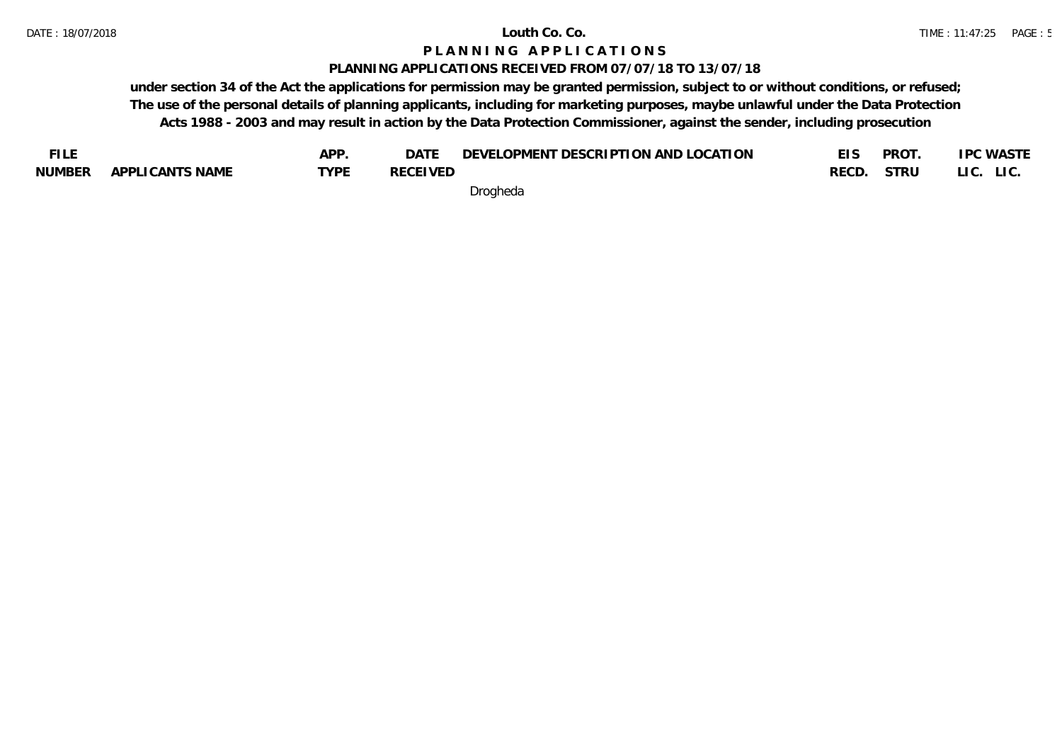### **PLANNING APPLICATIONS RECEIVED FROM 07/07/18 TO 13/07/18**

**under section 34 of the Act the applications for permission may be granted permission, subject to or without conditions, or refused; The use of the personal details of planning applicants, including for marketing purposes, maybe unlawful under the Data Protection Acts 1988 - 2003 and may result in action by the Data Protection Commissioner, against the sender, including prosecution**

| <b>FILE</b>   |                 | APP. | DATE            | DEVELOPMENT DESCRIPTION AND LOCATION |            | PROT | <b>IPC WASTE</b> |
|---------------|-----------------|------|-----------------|--------------------------------------|------------|------|------------------|
| <b>NUMBER</b> | APPLICANTS NAME | TVDF | <b>RECEIVED</b> |                                      | RECD. STRU |      | LIC. LIC.        |
|               |                 |      |                 |                                      |            |      |                  |

Drogheda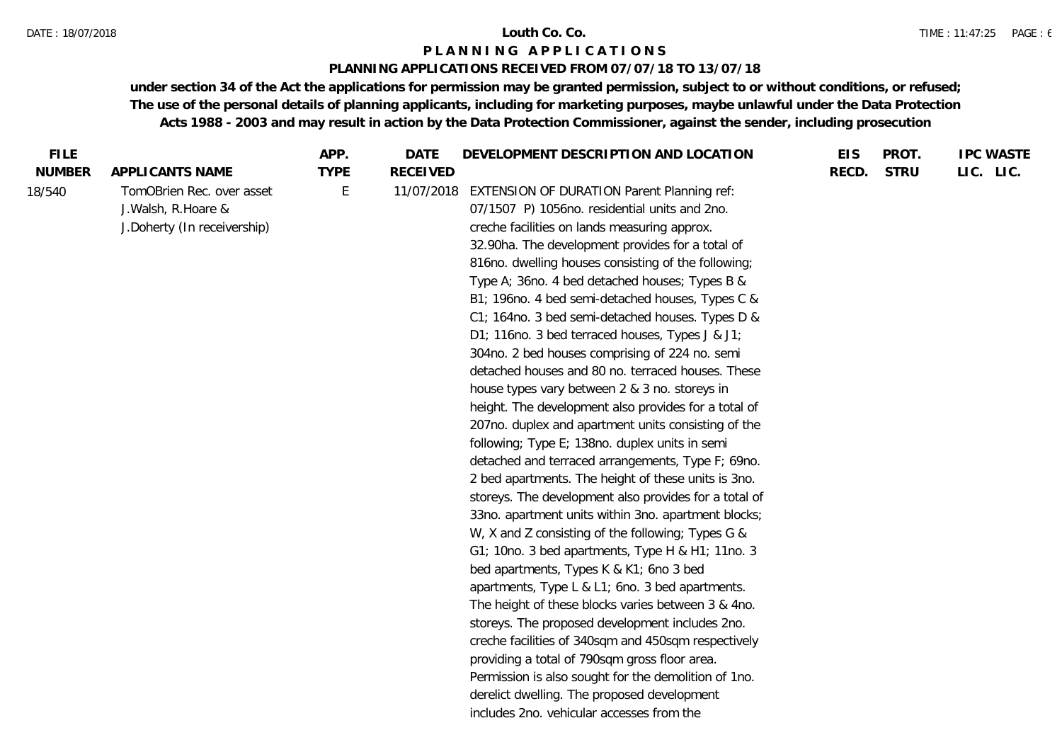#### DATE : 18/07/2018 **Louth Co. Co.**

### **P L A N N I N G A P P L I C A T I O N S**

# **PLANNING APPLICATIONS RECEIVED FROM 07/07/18 TO 13/07/18**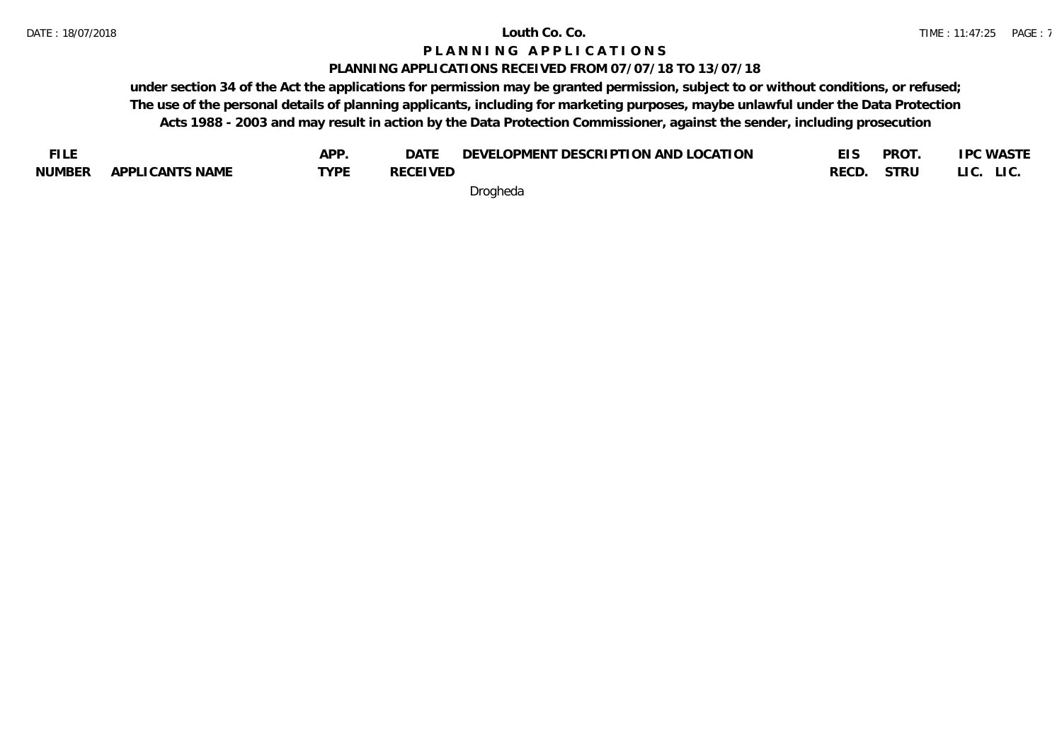# **PLANNING APPLICATIONS RECEIVED FROM 07/07/18 TO 13/07/18**

**under section 34 of the Act the applications for permission may be granted permission, subject to or without conditions, or refused; The use of the personal details of planning applicants, including for marketing purposes, maybe unlawful under the Data Protection Acts 1988 - 2003 and may result in action by the Data Protection Commissioner, against the sender, including prosecution**

| <b>FILE</b>   |                 | APP         | DATE            | DEVELOPMENT DESCRIPTION AND LOCATION |       | PROT | <b>IPC WASTE</b> |
|---------------|-----------------|-------------|-----------------|--------------------------------------|-------|------|------------------|
| <b>NUMBER</b> | APPLICANTS NAME | <b>TYPF</b> | <b>RECEIVED</b> |                                      | RECD. | STRU | LIC. LIC.        |
|               |                 |             |                 | $\sim$ $\sim$ $\sim$                 |       |      |                  |

Drogheda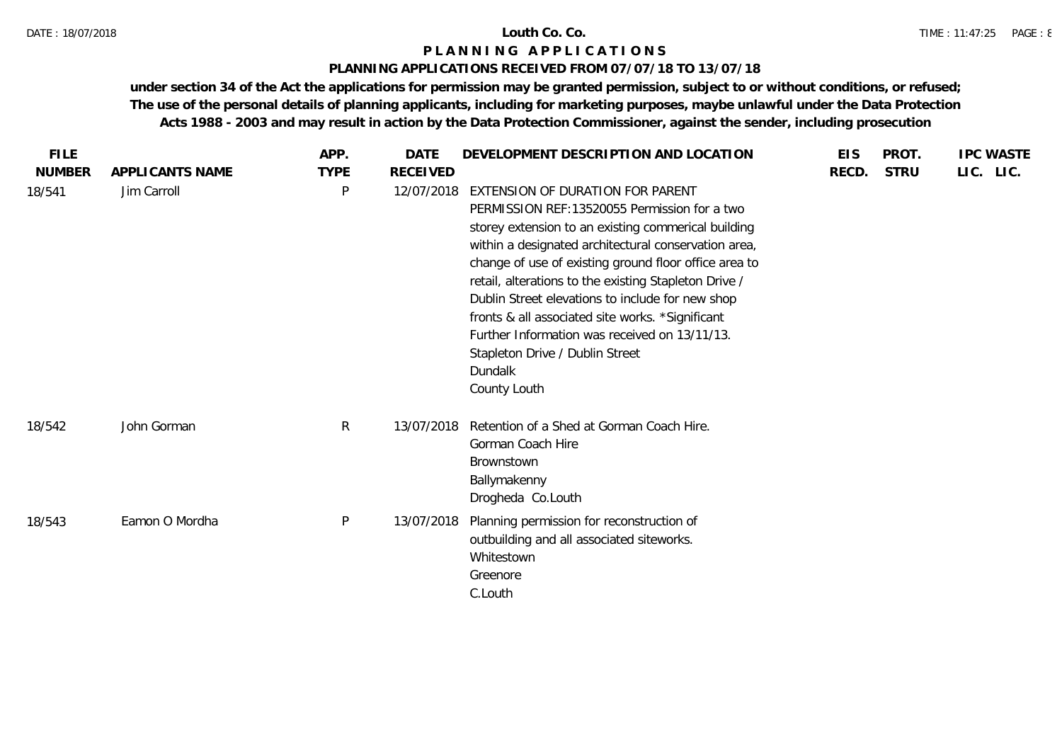# **PLANNING APPLICATIONS RECEIVED FROM 07/07/18 TO 13/07/18**

| <b>FILE</b>             |                                | APP.                        | <b>DATE</b>                   | DEVELOPMENT DESCRIPTION AND LOCATION                                                                                                                                                                                                                                                                                                                                                          | <b>EIS</b> | PROT.       | <b>IPC WASTE</b> |
|-------------------------|--------------------------------|-----------------------------|-------------------------------|-----------------------------------------------------------------------------------------------------------------------------------------------------------------------------------------------------------------------------------------------------------------------------------------------------------------------------------------------------------------------------------------------|------------|-------------|------------------|
| <b>NUMBER</b><br>18/541 | APPLICANTS NAME<br>Jim Carroll | <b>TYPE</b><br>$\mathsf{P}$ | <b>RECEIVED</b><br>12/07/2018 | EXTENSION OF DURATION FOR PARENT<br>PERMISSION REF: 13520055 Permission for a two<br>storey extension to an existing commerical building                                                                                                                                                                                                                                                      | RECD.      | <b>STRU</b> | LIC. LIC.        |
|                         |                                |                             |                               | within a designated architectural conservation area,<br>change of use of existing ground floor office area to<br>retail, alterations to the existing Stapleton Drive /<br>Dublin Street elevations to include for new shop<br>fronts & all associated site works. *Significant<br>Further Information was received on 13/11/13.<br>Stapleton Drive / Dublin Street<br>Dundalk<br>County Louth |            |             |                  |
| 18/542                  | John Gorman                    | R                           | 13/07/2018                    | Retention of a Shed at Gorman Coach Hire.<br>Gorman Coach Hire<br>Brownstown<br>Ballymakenny<br>Drogheda Co.Louth                                                                                                                                                                                                                                                                             |            |             |                  |
| 18/543                  | Eamon O Mordha                 | P                           | 13/07/2018                    | Planning permission for reconstruction of<br>outbuilding and all associated siteworks.<br>Whitestown<br>Greenore<br>C.Louth                                                                                                                                                                                                                                                                   |            |             |                  |